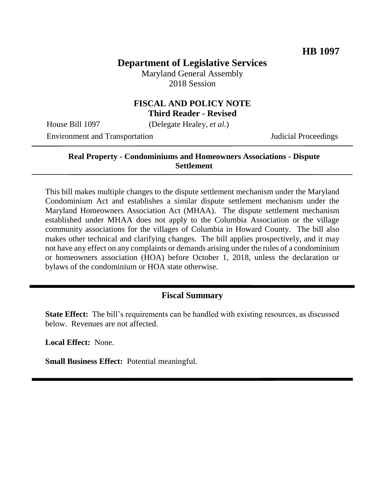## **Department of Legislative Services**

Maryland General Assembly 2018 Session

# **FISCAL AND POLICY NOTE**

**Third Reader - Revised**

House Bill 1097 (Delegate Healey, *et al.*)

Environment and Transportation Judicial Proceedings

#### **Real Property - Condominiums and Homeowners Associations - Dispute Settlement**

This bill makes multiple changes to the dispute settlement mechanism under the Maryland Condominium Act and establishes a similar dispute settlement mechanism under the Maryland Homeowners Association Act (MHAA). The dispute settlement mechanism established under MHAA does not apply to the Columbia Association or the village community associations for the villages of Columbia in Howard County. The bill also makes other technical and clarifying changes. The bill applies prospectively, and it may not have any effect on any complaints or demands arising under the rules of a condominium or homeowners association (HOA) before October 1, 2018, unless the declaration or bylaws of the condominium or HOA state otherwise.

## **Fiscal Summary**

**State Effect:** The bill's requirements can be handled with existing resources, as discussed below. Revenues are not affected.

**Local Effect:** None.

**Small Business Effect:** Potential meaningful.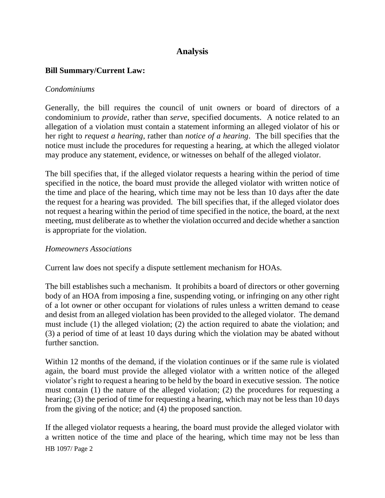## **Analysis**

#### **Bill Summary/Current Law:**

#### *Condominiums*

Generally, the bill requires the council of unit owners or board of directors of a condominium to *provide*, rather than *serve*, specified documents. A notice related to an allegation of a violation must contain a statement informing an alleged violator of his or her right to *request a hearing*, rather than *notice of a hearing*. The bill specifies that the notice must include the procedures for requesting a hearing, at which the alleged violator may produce any statement, evidence, or witnesses on behalf of the alleged violator.

The bill specifies that, if the alleged violator requests a hearing within the period of time specified in the notice, the board must provide the alleged violator with written notice of the time and place of the hearing, which time may not be less than 10 days after the date the request for a hearing was provided. The bill specifies that, if the alleged violator does not request a hearing within the period of time specified in the notice, the board, at the next meeting, must deliberate as to whether the violation occurred and decide whether a sanction is appropriate for the violation.

#### *Homeowners Associations*

Current law does not specify a dispute settlement mechanism for HOAs.

The bill establishes such a mechanism. It prohibits a board of directors or other governing body of an HOA from imposing a fine, suspending voting, or infringing on any other right of a lot owner or other occupant for violations of rules unless a written demand to cease and desist from an alleged violation has been provided to the alleged violator. The demand must include (1) the alleged violation; (2) the action required to abate the violation; and (3) a period of time of at least 10 days during which the violation may be abated without further sanction.

Within 12 months of the demand, if the violation continues or if the same rule is violated again, the board must provide the alleged violator with a written notice of the alleged violator's right to request a hearing to be held by the board in executive session. The notice must contain (1) the nature of the alleged violation; (2) the procedures for requesting a hearing; (3) the period of time for requesting a hearing, which may not be less than 10 days from the giving of the notice; and (4) the proposed sanction.

HB 1097/ Page 2 If the alleged violator requests a hearing, the board must provide the alleged violator with a written notice of the time and place of the hearing, which time may not be less than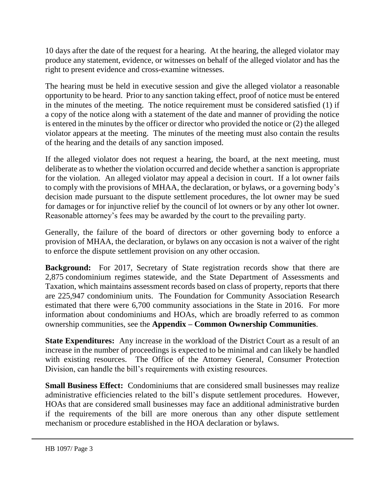10 days after the date of the request for a hearing. At the hearing, the alleged violator may produce any statement, evidence, or witnesses on behalf of the alleged violator and has the right to present evidence and cross-examine witnesses.

The hearing must be held in executive session and give the alleged violator a reasonable opportunity to be heard. Prior to any sanction taking effect, proof of notice must be entered in the minutes of the meeting. The notice requirement must be considered satisfied (1) if a copy of the notice along with a statement of the date and manner of providing the notice is entered in the minutes by the officer or director who provided the notice or (2) the alleged violator appears at the meeting. The minutes of the meeting must also contain the results of the hearing and the details of any sanction imposed.

If the alleged violator does not request a hearing, the board, at the next meeting, must deliberate as to whether the violation occurred and decide whether a sanction is appropriate for the violation. An alleged violator may appeal a decision in court. If a lot owner fails to comply with the provisions of MHAA, the declaration, or bylaws, or a governing body's decision made pursuant to the dispute settlement procedures, the lot owner may be sued for damages or for injunctive relief by the council of lot owners or by any other lot owner. Reasonable attorney's fees may be awarded by the court to the prevailing party.

Generally, the failure of the board of directors or other governing body to enforce a provision of MHAA, the declaration, or bylaws on any occasion is not a waiver of the right to enforce the dispute settlement provision on any other occasion.

**Background:** For 2017, Secretary of State registration records show that there are 2,875 condominium regimes statewide, and the State Department of Assessments and Taxation, which maintains assessment records based on class of property, reports that there are 225,947 condominium units. The Foundation for Community Association Research estimated that there were 6,700 community associations in the State in 2016. For more information about condominiums and HOAs, which are broadly referred to as common ownership communities, see the **Appendix – Common Ownership Communities**.

**State Expenditures:** Any increase in the workload of the District Court as a result of an increase in the number of proceedings is expected to be minimal and can likely be handled with existing resources. The Office of the Attorney General, Consumer Protection Division, can handle the bill's requirements with existing resources.

**Small Business Effect:** Condominiums that are considered small businesses may realize administrative efficiencies related to the bill's dispute settlement procedures. However, HOAs that are considered small businesses may face an additional administrative burden if the requirements of the bill are more onerous than any other dispute settlement mechanism or procedure established in the HOA declaration or bylaws.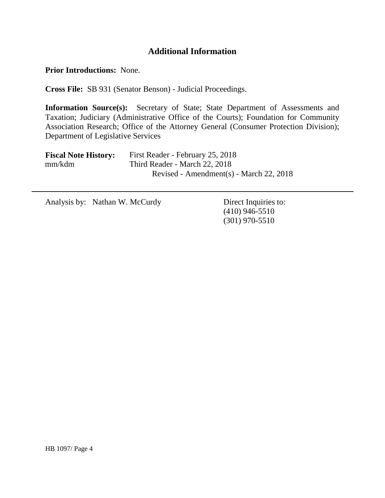## **Additional Information**

**Prior Introductions:** None.

**Cross File:** SB 931 (Senator Benson) - Judicial Proceedings.

**Information Source(s):** Secretary of State; State Department of Assessments and Taxation; Judiciary (Administrative Office of the Courts); Foundation for Community Association Research; Office of the Attorney General (Consumer Protection Division); Department of Legislative Services

| <b>Fiscal Note History:</b> | First Reader - February 25, 2018        |
|-----------------------------|-----------------------------------------|
| mm/kdm                      | Third Reader - March 22, 2018           |
|                             | Revised - Amendment(s) - March 22, 2018 |

Analysis by: Nathan W. McCurdy Direct Inquiries to:

(410) 946-5510 (301) 970-5510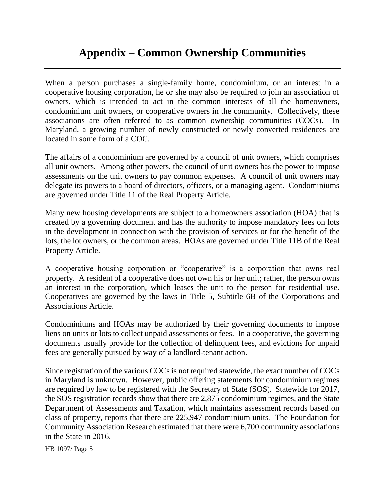## **Appendix – Common Ownership Communities**

When a person purchases a single-family home, condominium, or an interest in a cooperative housing corporation, he or she may also be required to join an association of owners, which is intended to act in the common interests of all the homeowners, condominium unit owners, or cooperative owners in the community. Collectively, these associations are often referred to as common ownership communities (COCs). In Maryland, a growing number of newly constructed or newly converted residences are located in some form of a COC.

The affairs of a condominium are governed by a council of unit owners, which comprises all unit owners. Among other powers, the council of unit owners has the power to impose assessments on the unit owners to pay common expenses. A council of unit owners may delegate its powers to a board of directors, officers, or a managing agent. Condominiums are governed under Title 11 of the Real Property Article.

Many new housing developments are subject to a homeowners association (HOA) that is created by a governing document and has the authority to impose mandatory fees on lots in the development in connection with the provision of services or for the benefit of the lots, the lot owners, or the common areas. HOAs are governed under Title 11B of the Real Property Article.

A cooperative housing corporation or "cooperative" is a corporation that owns real property. A resident of a cooperative does not own his or her unit; rather, the person owns an interest in the corporation, which leases the unit to the person for residential use. Cooperatives are governed by the laws in Title 5, Subtitle 6B of the Corporations and Associations Article.

Condominiums and HOAs may be authorized by their governing documents to impose liens on units or lots to collect unpaid assessments or fees. In a cooperative, the governing documents usually provide for the collection of delinquent fees, and evictions for unpaid fees are generally pursued by way of a landlord-tenant action.

Since registration of the various COCs is not required statewide, the exact number of COCs in Maryland is unknown. However, public offering statements for condominium regimes are required by law to be registered with the Secretary of State (SOS). Statewide for 2017, the SOS registration records show that there are 2,875 condominium regimes, and the State Department of Assessments and Taxation, which maintains assessment records based on class of property, reports that there are 225,947 condominium units. The Foundation for Community Association Research estimated that there were 6,700 community associations in the State in 2016.

HB 1097/ Page 5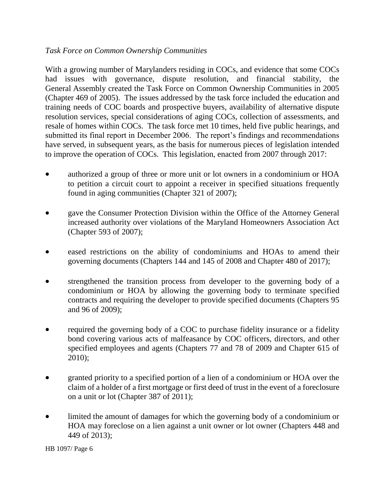#### *Task Force on Common Ownership Communities*

With a growing number of Marylanders residing in COCs, and evidence that some COCs had issues with governance, dispute resolution, and financial stability, the General Assembly created the Task Force on Common Ownership Communities in 2005 (Chapter 469 of 2005). The issues addressed by the task force included the education and training needs of COC boards and prospective buyers, availability of alternative dispute resolution services, special considerations of aging COCs, collection of assessments, and resale of homes within COCs. The task force met 10 times, held five public hearings, and submitted its final report in December 2006. The report's findings and recommendations have served, in subsequent years, as the basis for numerous pieces of legislation intended to improve the operation of COCs. This legislation, enacted from 2007 through 2017:

- authorized a group of three or more unit or lot owners in a condominium or HOA to petition a circuit court to appoint a receiver in specified situations frequently found in aging communities (Chapter 321 of 2007);
- gave the Consumer Protection Division within the Office of the Attorney General increased authority over violations of the Maryland Homeowners Association Act (Chapter 593 of 2007);
- eased restrictions on the ability of condominiums and HOAs to amend their governing documents (Chapters 144 and 145 of 2008 and Chapter 480 of 2017);
- strengthened the transition process from developer to the governing body of a condominium or HOA by allowing the governing body to terminate specified contracts and requiring the developer to provide specified documents (Chapters 95 and 96 of 2009);
- required the governing body of a COC to purchase fidelity insurance or a fidelity bond covering various acts of malfeasance by COC officers, directors, and other specified employees and agents (Chapters 77 and 78 of 2009 and Chapter 615 of 2010);
- granted priority to a specified portion of a lien of a condominium or HOA over the claim of a holder of a first mortgage or first deed of trust in the event of a foreclosure on a unit or lot (Chapter 387 of 2011);
- limited the amount of damages for which the governing body of a condominium or HOA may foreclose on a lien against a unit owner or lot owner (Chapters 448 and 449 of 2013);

HB 1097/ Page 6